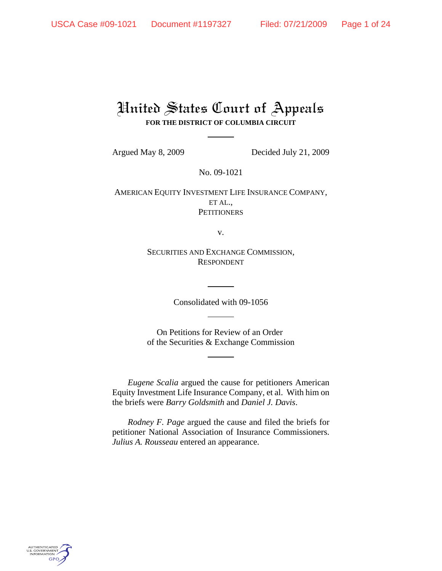# United States Court of Appeals **FOR THE DISTRICT OF COLUMBIA CIRCUIT**

Argued May 8, 2009 Decided July 21, 2009

No. 09-1021

AMERICAN EQUITY INVESTMENT LIFE INSURANCE COMPANY, ET AL., **PETITIONERS** 

v.

SECURITIES AND EXCHANGE COMMISSION, RESPONDENT

Consolidated with 09-1056

On Petitions for Review of an Order of the Securities & Exchange Commission

*Eugene Scalia* argued the cause for petitioners American Equity Investment Life Insurance Company, et al. With him on the briefs were *Barry Goldsmith* and *Daniel J. Davis*.

*Rodney F. Page* argued the cause and filed the briefs for petitioner National Association of Insurance Commissioners. *Julius A. Rousseau* entered an appearance.

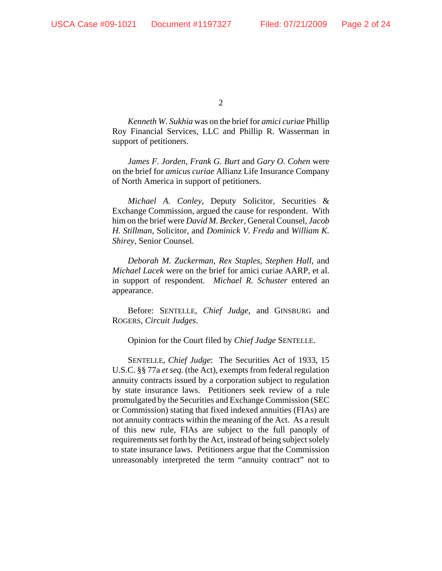*Kenneth W. Sukhia* was on the brief for *amici curiae* Phillip Roy Financial Services, LLC and Phillip R. Wasserman in support of petitioners.

*James F. Jorden*, *Frank G. Burt* and *Gary O. Cohen* were on the brief for *amicus curiae* Allianz Life Insurance Company of North America in support of petitioners.

*Michael A. Conley*, Deputy Solicitor, Securities & Exchange Commission, argued the cause for respondent. With him on the brief were *David M. Becker*, General Counsel, *Jacob H. Stillman*, Solicitor, and *Dominick V. Freda* and *William K. Shirey*, Senior Counsel.

*Deborah M. Zuckerman*, *Rex Staples*, *Stephen Hall*, and *Michael Lacek* were on the brief for amici curiae AARP, et al. in support of respondent. *Michael R. Schuster* entered an appearance.

Before: SENTELLE, *Chief Judge*, and GINSBURG and ROGERS, *Circuit Judges*.

Opinion for the Court filed by *Chief Judge* SENTELLE.

SENTELLE, *Chief Judge*: The Securities Act of 1933, 15 U.S.C. §§ 77a *et seq.* (the Act), exempts from federal regulation annuity contracts issued by a corporation subject to regulation by state insurance laws. Petitioners seek review of a rule promulgated by the Securities and Exchange Commission (SEC or Commission) stating that fixed indexed annuities (FIAs) are not annuity contracts within the meaning of the Act. As a result of this new rule, FIAs are subject to the full panoply of requirements set forth by the Act, instead of being subject solely to state insurance laws. Petitioners argue that the Commission unreasonably interpreted the term "annuity contract" not to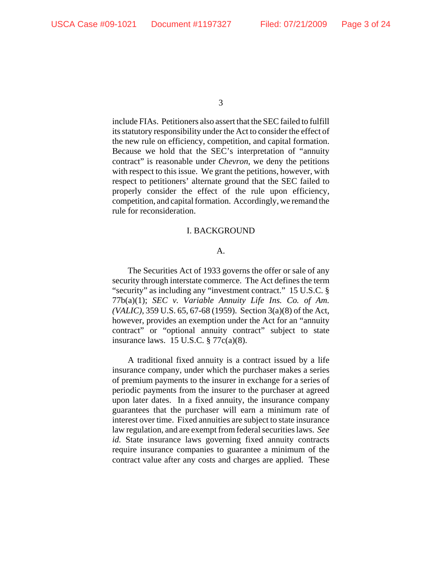include FIAs. Petitioners also assert that the SEC failed to fulfill its statutory responsibility under the Act to consider the effect of the new rule on efficiency, competition, and capital formation. Because we hold that the SEC's interpretation of "annuity contract" is reasonable under *Chevron*, we deny the petitions with respect to this issue. We grant the petitions, however, with respect to petitioners' alternate ground that the SEC failed to properly consider the effect of the rule upon efficiency, competition, and capital formation. Accordingly, we remand the rule for reconsideration.

# I. BACKGROUND

## A.

The Securities Act of 1933 governs the offer or sale of any security through interstate commerce. The Act defines the term "security" as including any "investment contract." 15 U.S.C. § 77b(a)(1); *SEC v. Variable Annuity Life Ins. Co. of Am. (VALIC)*, 359 U.S. 65, 67-68 (1959). Section 3(a)(8) of the Act, however, provides an exemption under the Act for an "annuity contract" or "optional annuity contract" subject to state insurance laws. 15 U.S.C.  $\frac{5}{9}$  77c(a)(8).

A traditional fixed annuity is a contract issued by a life insurance company, under which the purchaser makes a series of premium payments to the insurer in exchange for a series of periodic payments from the insurer to the purchaser at agreed upon later dates. In a fixed annuity, the insurance company guarantees that the purchaser will earn a minimum rate of interest over time. Fixed annuities are subject to state insurance law regulation, and are exempt from federal securities laws. *See id.* State insurance laws governing fixed annuity contracts require insurance companies to guarantee a minimum of the contract value after any costs and charges are applied. These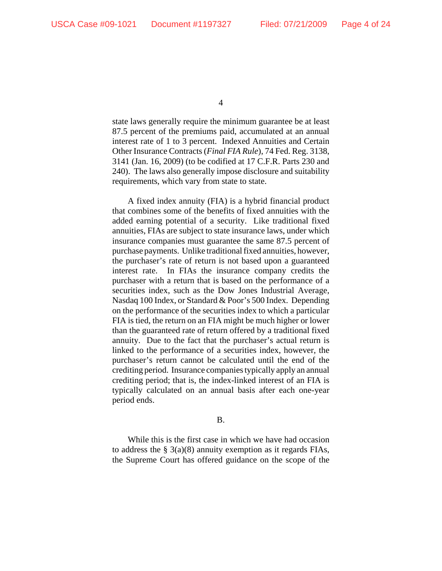state laws generally require the minimum guarantee be at least 87.5 percent of the premiums paid, accumulated at an annual interest rate of 1 to 3 percent. Indexed Annuities and Certain Other Insurance Contracts (*Final FIA Rule*), 74 Fed. Reg. 3138, 3141 (Jan. 16, 2009) (to be codified at 17 C.F.R. Parts 230 and 240). The laws also generally impose disclosure and suitability requirements, which vary from state to state.

A fixed index annuity (FIA) is a hybrid financial product that combines some of the benefits of fixed annuities with the added earning potential of a security. Like traditional fixed annuities, FIAs are subject to state insurance laws, under which insurance companies must guarantee the same 87.5 percent of purchase payments. Unlike traditional fixed annuities, however, the purchaser's rate of return is not based upon a guaranteed interest rate. In FIAs the insurance company credits the purchaser with a return that is based on the performance of a securities index, such as the Dow Jones Industrial Average, Nasdaq 100 Index, or Standard & Poor's 500 Index. Depending on the performance of the securities index to which a particular FIA is tied, the return on an FIA might be much higher or lower than the guaranteed rate of return offered by a traditional fixed annuity. Due to the fact that the purchaser's actual return is linked to the performance of a securities index, however, the purchaser's return cannot be calculated until the end of the crediting period. Insurance companies typically apply an annual crediting period; that is, the index-linked interest of an FIA is typically calculated on an annual basis after each one-year period ends.

# B.

While this is the first case in which we have had occasion to address the  $\S$  3(a)(8) annuity exemption as it regards FIAs, the Supreme Court has offered guidance on the scope of the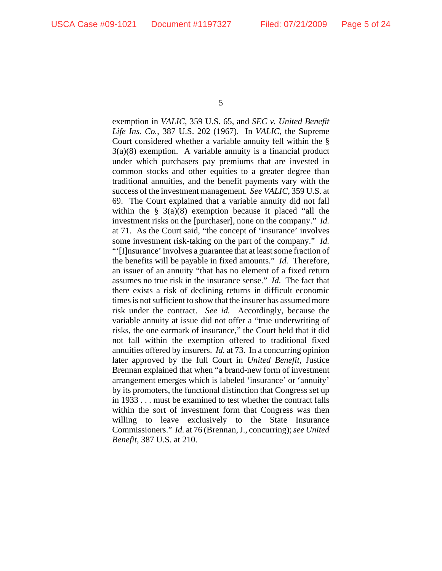exemption in *VALIC*, 359 U.S. 65, and *SEC v. United Benefit Life Ins. Co.*, 387 U.S. 202 (1967). In *VALIC*, the Supreme Court considered whether a variable annuity fell within the § 3(a)(8) exemption. A variable annuity is a financial product under which purchasers pay premiums that are invested in common stocks and other equities to a greater degree than traditional annuities, and the benefit payments vary with the success of the investment management. *See VALIC*, 359 U.S. at 69. The Court explained that a variable annuity did not fall within the  $\S$  3(a)(8) exemption because it placed "all the investment risks on the [purchaser], none on the company." *Id.* at 71. As the Court said, "the concept of 'insurance' involves some investment risk-taking on the part of the company." *Id.*

"'[I]nsurance' involves a guarantee that at least some fraction of the benefits will be payable in fixed amounts." *Id.* Therefore, an issuer of an annuity "that has no element of a fixed return assumes no true risk in the insurance sense." *Id.* The fact that there exists a risk of declining returns in difficult economic times is not sufficient to show that the insurer has assumed more risk under the contract. *See id.* Accordingly, because the variable annuity at issue did not offer a "true underwriting of risks, the one earmark of insurance," the Court held that it did not fall within the exemption offered to traditional fixed annuities offered by insurers. *Id.* at 73. In a concurring opinion later approved by the full Court in *United Benefit*, Justice Brennan explained that when "a brand-new form of investment arrangement emerges which is labeled 'insurance' or 'annuity' by its promoters, the functional distinction that Congress set up in 1933 . . . must be examined to test whether the contract falls within the sort of investment form that Congress was then willing to leave exclusively to the State Insurance Commissioners." *Id.* at 76 (Brennan, J., concurring); *see United Benefit*, 387 U.S. at 210.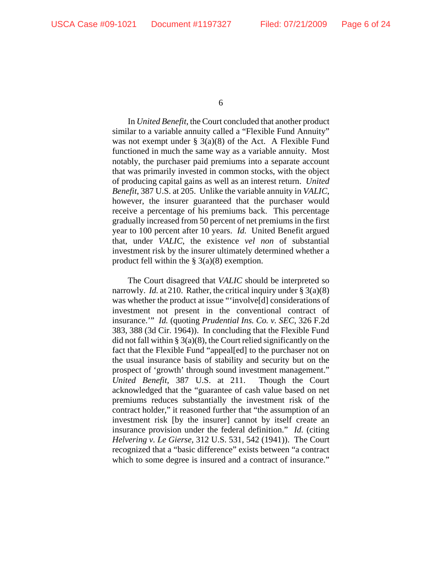In *United Benefit*, the Court concluded that another product similar to a variable annuity called a "Flexible Fund Annuity" was not exempt under  $\S$  3(a)(8) of the Act. A Flexible Fund functioned in much the same way as a variable annuity. Most notably, the purchaser paid premiums into a separate account that was primarily invested in common stocks, with the object of producing capital gains as well as an interest return. *United Benefit*, 387 U.S. at 205. Unlike the variable annuity in *VALIC*, however, the insurer guaranteed that the purchaser would receive a percentage of his premiums back. This percentage gradually increased from 50 percent of net premiums in the first year to 100 percent after 10 years. *Id.* United Benefit argued that, under *VALIC*, the existence *vel non* of substantial investment risk by the insurer ultimately determined whether a product fell within the  $\S 3(a)(8)$  exemption.

The Court disagreed that *VALIC* should be interpreted so narrowly. *Id.* at 210. Rather, the critical inquiry under § 3(a)(8) was whether the product at issue "'involve[d] considerations of investment not present in the conventional contract of insurance.'" *Id.* (quoting *Prudential Ins. Co. v. SEC*, 326 F.2d 383, 388 (3d Cir. 1964)). In concluding that the Flexible Fund did not fall within  $\S 3(a)(8)$ , the Court relied significantly on the fact that the Flexible Fund "appeal[ed] to the purchaser not on the usual insurance basis of stability and security but on the prospect of 'growth' through sound investment management." *United Benefit*, 387 U.S. at 211. Though the Court acknowledged that the "guarantee of cash value based on net premiums reduces substantially the investment risk of the contract holder," it reasoned further that "the assumption of an investment risk [by the insurer] cannot by itself create an insurance provision under the federal definition." *Id.* (citing *Helvering v. Le Gierse*, 312 U.S. 531, 542 (1941)). The Court recognized that a "basic difference" exists between "a contract which to some degree is insured and a contract of insurance."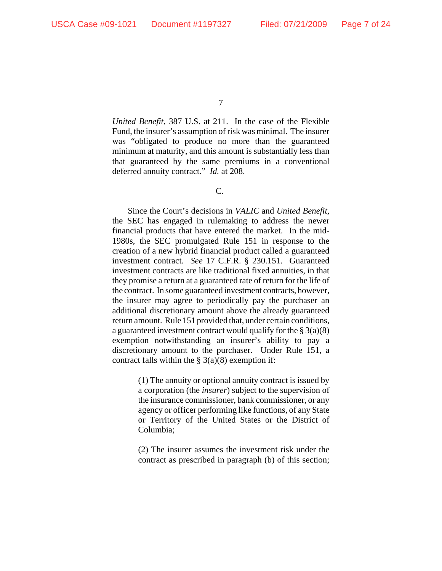*United Benefit*, 387 U.S. at 211. In the case of the Flexible Fund, the insurer's assumption of risk was minimal. The insurer was "obligated to produce no more than the guaranteed minimum at maturity, and this amount is substantially less than that guaranteed by the same premiums in a conventional deferred annuity contract." *Id.* at 208.

# C.

Since the Court's decisions in *VALIC* and *United Benefit*, the SEC has engaged in rulemaking to address the newer financial products that have entered the market. In the mid-1980s, the SEC promulgated Rule 151 in response to the creation of a new hybrid financial product called a guaranteed investment contract. *See* 17 C.F.R. § 230.151. Guaranteed investment contracts are like traditional fixed annuities, in that they promise a return at a guaranteed rate of return for the life of the contract. In some guaranteed investment contracts, however, the insurer may agree to periodically pay the purchaser an additional discretionary amount above the already guaranteed return amount. Rule 151 provided that, under certain conditions, a guaranteed investment contract would qualify for the  $\S 3(a)(8)$ exemption notwithstanding an insurer's ability to pay a discretionary amount to the purchaser. Under Rule 151, a contract falls within the  $\S 3(a)(8)$  exemption if:

> (1) The annuity or optional annuity contract is issued by a corporation (the *insurer*) subject to the supervision of the insurance commissioner, bank commissioner, or any agency or officer performing like functions, of any State or Territory of the United States or the District of Columbia;

> (2) The insurer assumes the investment risk under the contract as prescribed in paragraph (b) of this section;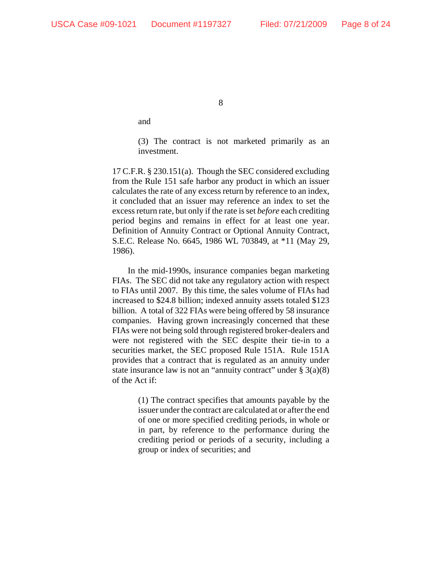and

(3) The contract is not marketed primarily as an investment.

17 C.F.R. § 230.151(a). Though the SEC considered excluding from the Rule 151 safe harbor any product in which an issuer calculates the rate of any excess return by reference to an index, it concluded that an issuer may reference an index to set the excess return rate, but only if the rate is set *before* each crediting period begins and remains in effect for at least one year. Definition of Annuity Contract or Optional Annuity Contract, S.E.C. Release No. 6645, 1986 WL 703849, at \*11 (May 29, 1986).

In the mid-1990s, insurance companies began marketing FIAs. The SEC did not take any regulatory action with respect to FIAs until 2007. By this time, the sales volume of FIAs had increased to \$24.8 billion; indexed annuity assets totaled \$123 billion. A total of 322 FIAs were being offered by 58 insurance companies. Having grown increasingly concerned that these FIAs were not being sold through registered broker-dealers and were not registered with the SEC despite their tie-in to a securities market, the SEC proposed Rule 151A. Rule 151A provides that a contract that is regulated as an annuity under state insurance law is not an "annuity contract" under  $\S 3(a)(8)$ of the Act if:

> (1) The contract specifies that amounts payable by the issuer under the contract are calculated at or after the end of one or more specified crediting periods, in whole or in part, by reference to the performance during the crediting period or periods of a security, including a group or index of securities; and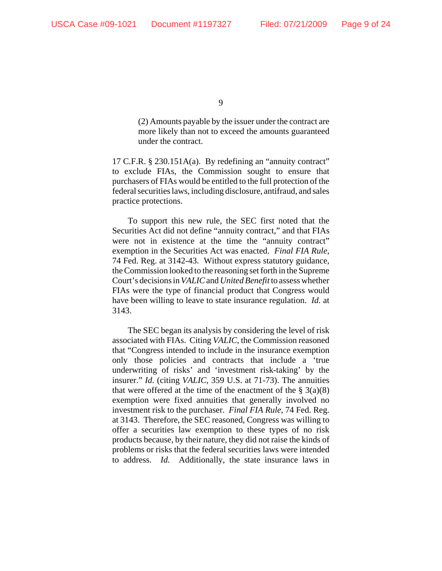(2) Amounts payable by the issuer under the contract are more likely than not to exceed the amounts guaranteed under the contract.

17 C.F.R. § 230.151A(a). By redefining an "annuity contract" to exclude FIAs, the Commission sought to ensure that purchasers of FIAs would be entitled to the full protection of the federal securities laws, including disclosure, antifraud, and sales practice protections.

To support this new rule, the SEC first noted that the Securities Act did not define "annuity contract," and that FIAs were not in existence at the time the "annuity contract" exemption in the Securities Act was enacted. *Final FIA Rule*, 74 Fed. Reg. at 3142-43. Without express statutory guidance, the Commission looked to the reasoning set forth in the Supreme Court's decisions in *VALIC* and *United Benefit* to assess whether FIAs were the type of financial product that Congress would have been willing to leave to state insurance regulation. *Id.* at 3143.

The SEC began its analysis by considering the level of risk associated with FIAs. Citing *VALIC*, the Commission reasoned that "Congress intended to include in the insurance exemption only those policies and contracts that include a 'true underwriting of risks' and 'investment risk-taking' by the insurer." *Id.* (citing *VALIC*, 359 U.S. at 71-73). The annuities that were offered at the time of the enactment of the  $\S$  3(a)(8) exemption were fixed annuities that generally involved no investment risk to the purchaser. *Final FIA Rule*, 74 Fed. Reg. at 3143. Therefore, the SEC reasoned, Congress was willing to offer a securities law exemption to these types of no risk products because, by their nature, they did not raise the kinds of problems or risks that the federal securities laws were intended to address. *Id.* Additionally, the state insurance laws in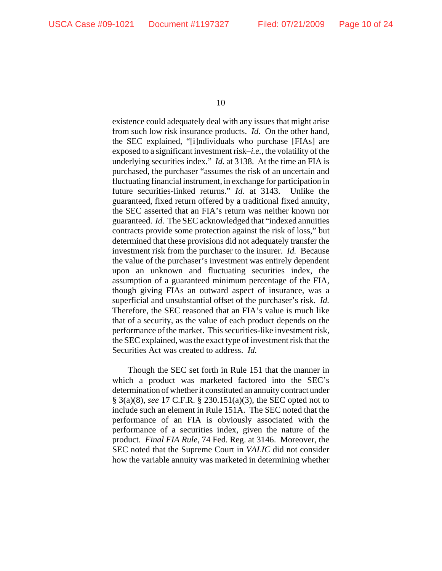existence could adequately deal with any issues that might arise from such low risk insurance products. *Id.* On the other hand, the SEC explained, "[i]ndividuals who purchase [FIAs] are exposed to a significant investment risk–*i.e.*, the volatility of the underlying securities index." *Id.* at 3138. At the time an FIA is purchased, the purchaser "assumes the risk of an uncertain and fluctuating financial instrument, in exchange for participation in future securities-linked returns." *Id.* at 3143. Unlike the guaranteed, fixed return offered by a traditional fixed annuity, the SEC asserted that an FIA's return was neither known nor guaranteed. *Id.* The SEC acknowledged that "indexed annuities contracts provide some protection against the risk of loss," but determined that these provisions did not adequately transfer the investment risk from the purchaser to the insurer. *Id.* Because the value of the purchaser's investment was entirely dependent upon an unknown and fluctuating securities index, the assumption of a guaranteed minimum percentage of the FIA, though giving FIAs an outward aspect of insurance, was a superficial and unsubstantial offset of the purchaser's risk. *Id.* Therefore, the SEC reasoned that an FIA's value is much like that of a security, as the value of each product depends on the performance of the market. This securities-like investment risk, the SEC explained, was the exact type of investment risk that the Securities Act was created to address. *Id.*

Though the SEC set forth in Rule 151 that the manner in which a product was marketed factored into the SEC's determination of whether it constituted an annuity contract under § 3(a)(8), *see* 17 C.F.R. § 230.151(a)(3), the SEC opted not to include such an element in Rule 151A. The SEC noted that the performance of an FIA is obviously associated with the performance of a securities index, given the nature of the product. *Final FIA Rule*, 74 Fed. Reg. at 3146. Moreover, the SEC noted that the Supreme Court in *VALIC* did not consider how the variable annuity was marketed in determining whether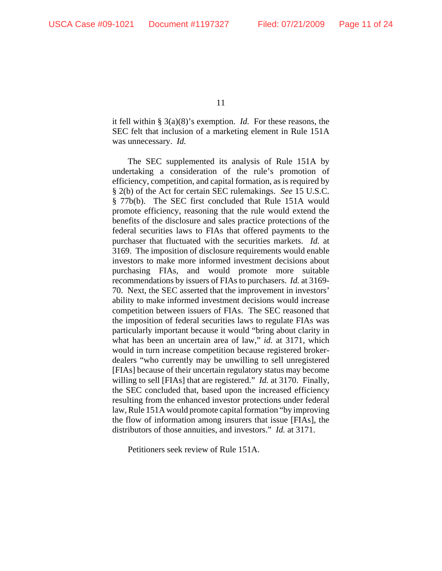it fell within § 3(a)(8)'s exemption. *Id.* For these reasons, the SEC felt that inclusion of a marketing element in Rule 151A was unnecessary. *Id.*

The SEC supplemented its analysis of Rule 151A by undertaking a consideration of the rule's promotion of efficiency, competition, and capital formation, as is required by § 2(b) of the Act for certain SEC rulemakings. *See* 15 U.S.C. § 77b(b). The SEC first concluded that Rule 151A would promote efficiency, reasoning that the rule would extend the benefits of the disclosure and sales practice protections of the federal securities laws to FIAs that offered payments to the purchaser that fluctuated with the securities markets. *Id.* at 3169. The imposition of disclosure requirements would enable investors to make more informed investment decisions about purchasing FIAs, and would promote more suitable recommendations by issuers of FIAs to purchasers. *Id.* at 3169- 70. Next, the SEC asserted that the improvement in investors' ability to make informed investment decisions would increase competition between issuers of FIAs. The SEC reasoned that the imposition of federal securities laws to regulate FIAs was particularly important because it would "bring about clarity in what has been an uncertain area of law," *id.* at 3171, which would in turn increase competition because registered brokerdealers "who currently may be unwilling to sell unregistered [FIAs] because of their uncertain regulatory status may become willing to sell [FIAs] that are registered." *Id.* at 3170. Finally, the SEC concluded that, based upon the increased efficiency resulting from the enhanced investor protections under federal law, Rule 151A would promote capital formation "by improving the flow of information among insurers that issue [FIAs], the distributors of those annuities, and investors." *Id.* at 3171.

Petitioners seek review of Rule 151A.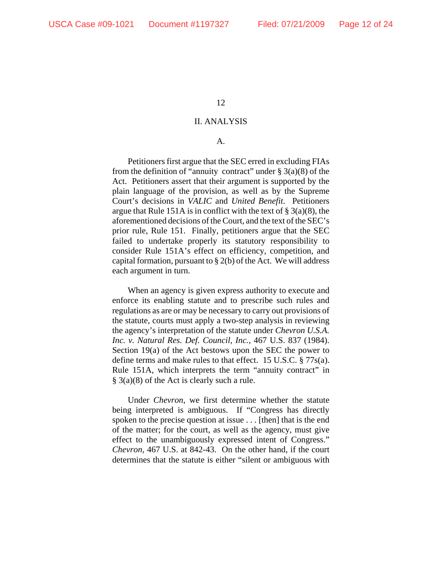#### II. ANALYSIS

## A.

Petitioners first argue that the SEC erred in excluding FIAs from the definition of "annuity contract" under  $\S 3(a)(8)$  of the Act. Petitioners assert that their argument is supported by the plain language of the provision, as well as by the Supreme Court's decisions in *VALIC* and *United Benefit*. Petitioners argue that Rule 151A is in conflict with the text of  $\S$  3(a)(8), the aforementioned decisions of the Court, and the text of the SEC's prior rule, Rule 151. Finally, petitioners argue that the SEC failed to undertake properly its statutory responsibility to consider Rule 151A's effect on efficiency, competition, and capital formation, pursuant to  $\S 2(b)$  of the Act. We will address each argument in turn.

When an agency is given express authority to execute and enforce its enabling statute and to prescribe such rules and regulations as are or may be necessary to carry out provisions of the statute, courts must apply a two-step analysis in reviewing the agency's interpretation of the statute under *Chevron U.S.A. Inc. v. Natural Res. Def. Council, Inc.*, 467 U.S. 837 (1984). Section 19(a) of the Act bestows upon the SEC the power to define terms and make rules to that effect. 15 U.S.C. § 77s(a). Rule 151A, which interprets the term "annuity contract" in § 3(a)(8) of the Act is clearly such a rule.

Under *Chevron*, we first determine whether the statute being interpreted is ambiguous. If "Congress has directly spoken to the precise question at issue . . . [then] that is the end of the matter; for the court, as well as the agency, must give effect to the unambiguously expressed intent of Congress." *Chevron*, 467 U.S. at 842-43. On the other hand, if the court determines that the statute is either "silent or ambiguous with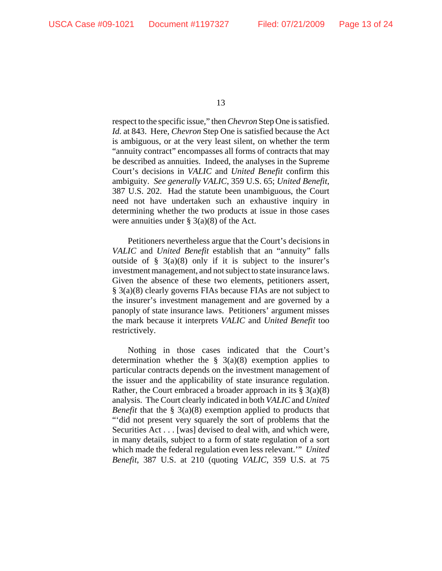respect to the specific issue," then *Chevron* Step One is satisfied. *Id.* at 843. Here, *Chevron* Step One is satisfied because the Act is ambiguous, or at the very least silent, on whether the term "annuity contract" encompasses all forms of contracts that may be described as annuities. Indeed, the analyses in the Supreme Court's decisions in *VALIC* and *United Benefit* confirm this ambiguity. *See generally VALIC*, 359 U.S. 65; *United Benefit*, 387 U.S. 202. Had the statute been unambiguous, the Court need not have undertaken such an exhaustive inquiry in determining whether the two products at issue in those cases were annuities under  $\S$  3(a)(8) of the Act.

Petitioners nevertheless argue that the Court's decisions in *VALIC* and *United Benefit* establish that an "annuity" falls outside of  $\S$  3(a)(8) only if it is subject to the insurer's investment management, and not subject to state insurance laws. Given the absence of these two elements, petitioners assert, § 3(a)(8) clearly governs FIAs because FIAs are not subject to the insurer's investment management and are governed by a panoply of state insurance laws. Petitioners' argument misses the mark because it interprets *VALIC* and *United Benefit* too restrictively.

Nothing in those cases indicated that the Court's determination whether the  $\S$  3(a)(8) exemption applies to particular contracts depends on the investment management of the issuer and the applicability of state insurance regulation. Rather, the Court embraced a broader approach in its  $\S 3(a)(8)$ analysis. The Court clearly indicated in both *VALIC* and *United Benefit* that the § 3(a)(8) exemption applied to products that "'did not present very squarely the sort of problems that the Securities Act . . . [was] devised to deal with, and which were, in many details, subject to a form of state regulation of a sort which made the federal regulation even less relevant.'" *United Benefit*, 387 U.S. at 210 (quoting *VALIC*, 359 U.S. at 75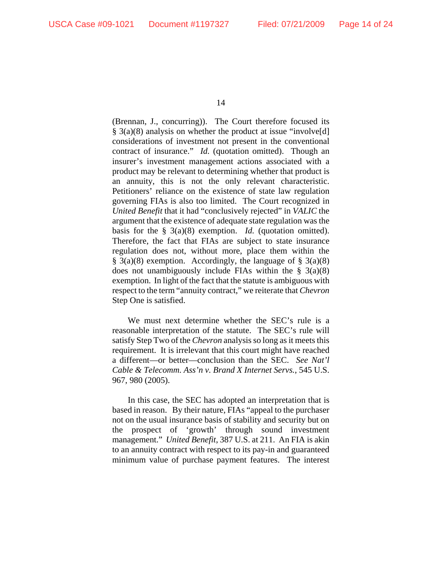(Brennan, J., concurring)). The Court therefore focused its § 3(a)(8) analysis on whether the product at issue "involve[d] considerations of investment not present in the conventional contract of insurance." *Id.* (quotation omitted). Though an insurer's investment management actions associated with a product may be relevant to determining whether that product is an annuity, this is not the only relevant characteristic. Petitioners' reliance on the existence of state law regulation governing FIAs is also too limited. The Court recognized in *United Benefit* that it had "conclusively rejected" in *VALIC* the argument that the existence of adequate state regulation was the basis for the § 3(a)(8) exemption. *Id.* (quotation omitted). Therefore, the fact that FIAs are subject to state insurance regulation does not, without more, place them within the  $\S$  3(a)(8) exemption. Accordingly, the language of  $\S$  3(a)(8) does not unambiguously include FIAs within the  $\S$  3(a)(8) exemption. In light of the fact that the statute is ambiguous with respect to the term "annuity contract," we reiterate that *Chevron* Step One is satisfied.

We must next determine whether the SEC's rule is a reasonable interpretation of the statute. The SEC's rule will satisfy Step Two of the *Chevron* analysis so long as it meets this requirement. It is irrelevant that this court might have reached a different—or better—conclusion than the SEC. *See Nat'l Cable & Telecomm. Ass'n v. Brand X Internet Servs.*, 545 U.S. 967, 980 (2005).

In this case, the SEC has adopted an interpretation that is based in reason. By their nature, FIAs "appeal to the purchaser not on the usual insurance basis of stability and security but on the prospect of 'growth' through sound investment management." *United Benefit*, 387 U.S. at 211. An FIA is akin to an annuity contract with respect to its pay-in and guaranteed minimum value of purchase payment features. The interest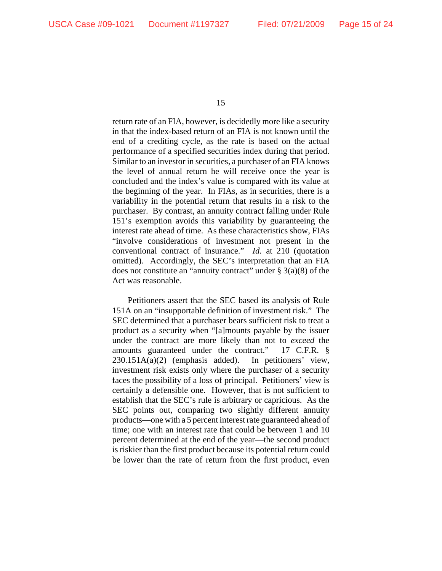return rate of an FIA, however, is decidedly more like a security in that the index-based return of an FIA is not known until the end of a crediting cycle, as the rate is based on the actual performance of a specified securities index during that period. Similar to an investor in securities, a purchaser of an FIA knows the level of annual return he will receive once the year is concluded and the index's value is compared with its value at the beginning of the year. In FIAs, as in securities, there is a variability in the potential return that results in a risk to the purchaser. By contrast, an annuity contract falling under Rule 151's exemption avoids this variability by guaranteeing the interest rate ahead of time. As these characteristics show, FIAs "involve considerations of investment not present in the conventional contract of insurance." *Id.* at 210 (quotation omitted). Accordingly, the SEC's interpretation that an FIA does not constitute an "annuity contract" under  $\S$  3(a)(8) of the Act was reasonable.

Petitioners assert that the SEC based its analysis of Rule 151A on an "insupportable definition of investment risk." The SEC determined that a purchaser bears sufficient risk to treat a product as a security when "[a]mounts payable by the issuer under the contract are more likely than not to *exceed* the amounts guaranteed under the contract." 17 C.F.R. § 230.151A(a)(2) (emphasis added). In petitioners' view, investment risk exists only where the purchaser of a security faces the possibility of a loss of principal. Petitioners' view is certainly a defensible one. However, that is not sufficient to establish that the SEC's rule is arbitrary or capricious. As the SEC points out, comparing two slightly different annuity products—one with a 5 percent interest rate guaranteed ahead of time; one with an interest rate that could be between 1 and 10 percent determined at the end of the year—the second product is riskier than the first product because its potential return could be lower than the rate of return from the first product, even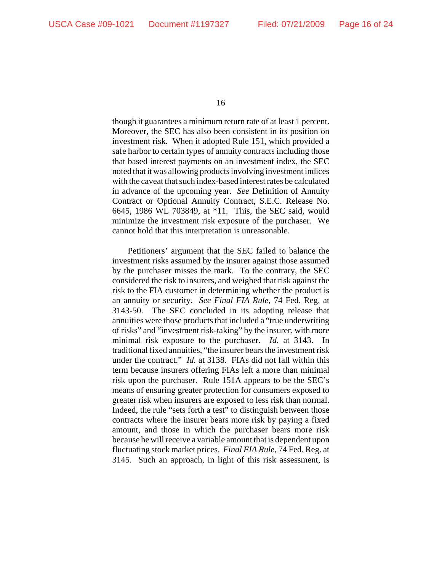though it guarantees a minimum return rate of at least 1 percent. Moreover, the SEC has also been consistent in its position on investment risk. When it adopted Rule 151, which provided a safe harbor to certain types of annuity contracts including those that based interest payments on an investment index, the SEC noted that it was allowing products involving investment indices with the caveat that such index-based interest rates be calculated in advance of the upcoming year. *See* Definition of Annuity Contract or Optional Annuity Contract, S.E.C. Release No. 6645, 1986 WL 703849, at \*11. This, the SEC said, would minimize the investment risk exposure of the purchaser. We cannot hold that this interpretation is unreasonable.

Petitioners' argument that the SEC failed to balance the investment risks assumed by the insurer against those assumed by the purchaser misses the mark. To the contrary, the SEC considered the risk to insurers, and weighed that risk against the risk to the FIA customer in determining whether the product is an annuity or security. *See Final FIA Rule*, 74 Fed. Reg. at 3143-50. The SEC concluded in its adopting release that annuities were those products that included a "true underwriting of risks" and "investment risk-taking" by the insurer, with more minimal risk exposure to the purchaser. *Id.* at 3143. traditional fixed annuities, "the insurer bears the investment risk under the contract." *Id.* at 3138. FIAs did not fall within this term because insurers offering FIAs left a more than minimal risk upon the purchaser. Rule 151A appears to be the SEC's means of ensuring greater protection for consumers exposed to greater risk when insurers are exposed to less risk than normal. Indeed, the rule "sets forth a test" to distinguish between those contracts where the insurer bears more risk by paying a fixed amount, and those in which the purchaser bears more risk because he will receive a variable amount that is dependent upon fluctuating stock market prices. *Final FIA Rule*, 74 Fed. Reg. at 3145. Such an approach, in light of this risk assessment, is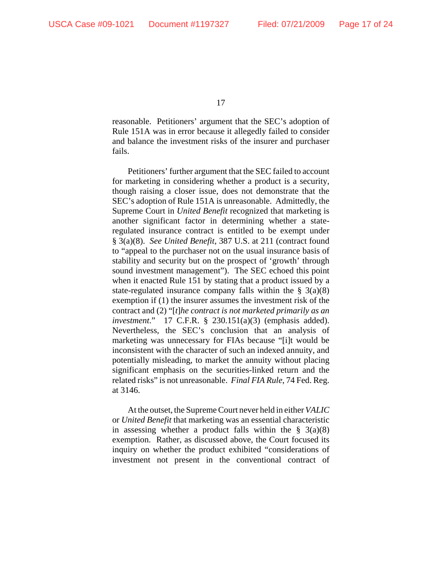reasonable. Petitioners' argument that the SEC's adoption of Rule 151A was in error because it allegedly failed to consider and balance the investment risks of the insurer and purchaser fails.

Petitioners' further argument that the SEC failed to account for marketing in considering whether a product is a security, though raising a closer issue, does not demonstrate that the SEC's adoption of Rule 151A is unreasonable. Admittedly, the Supreme Court in *United Benefit* recognized that marketing is another significant factor in determining whether a stateregulated insurance contract is entitled to be exempt under § 3(a)(8). *See United Benefit*, 387 U.S. at 211 (contract found to "appeal to the purchaser not on the usual insurance basis of stability and security but on the prospect of 'growth' through sound investment management"). The SEC echoed this point when it enacted Rule 151 by stating that a product issued by a state-regulated insurance company falls within the  $\S$  3(a)(8) exemption if (1) the insurer assumes the investment risk of the contract and (2) "[*t*]*he contract is not marketed primarily as an investment*." 17 C.F.R. § 230.151(a)(3) (emphasis added). Nevertheless, the SEC's conclusion that an analysis of marketing was unnecessary for FIAs because "[i]t would be inconsistent with the character of such an indexed annuity, and potentially misleading, to market the annuity without placing significant emphasis on the securities-linked return and the related risks" is not unreasonable. *Final FIA Rule*, 74 Fed. Reg. at 3146.

At the outset, the Supreme Court never held in either *VALIC* or *United Benefit* that marketing was an essential characteristic in assessing whether a product falls within the  $\S$  3(a)(8) exemption. Rather, as discussed above, the Court focused its inquiry on whether the product exhibited "considerations of investment not present in the conventional contract of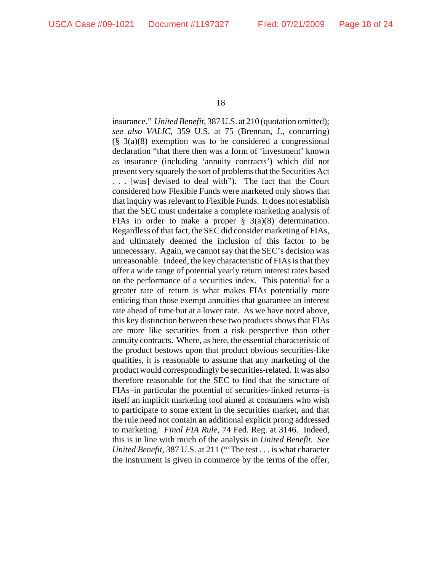insurance." *United Benefit*, 387 U.S. at 210 (quotation omitted); *see also VALIC*, 359 U.S. at 75 (Brennan, J., concurring)  $(\S$  3(a)(8) exemption was to be considered a congressional declaration "that there then was a form of 'investment' known as insurance (including 'annuity contracts') which did not present very squarely the sort of problems that the Securities Act . . . [was] devised to deal with"). The fact that the Court considered how Flexible Funds were marketed only shows that that inquiry was relevant to Flexible Funds. It does not establish that the SEC must undertake a complete marketing analysis of FIAs in order to make a proper  $\S$  3(a)(8) determination. Regardless of that fact, the SEC did consider marketing of FIAs, and ultimately deemed the inclusion of this factor to be unnecessary. Again, we cannot say that the SEC's decision was unreasonable. Indeed, the key characteristic of FIAs is that they offer a wide range of potential yearly return interest rates based on the performance of a securities index. This potential for a greater rate of return is what makes FIAs potentially more enticing than those exempt annuities that guarantee an interest rate ahead of time but at a lower rate. As we have noted above, this key distinction between these two products shows that FIAs are more like securities from a risk perspective than other annuity contracts. Where, as here, the essential characteristic of the product bestows upon that product obvious securities-like qualities, it is reasonable to assume that any marketing of the product would correspondingly be securities-related. It was also therefore reasonable for the SEC to find that the structure of FIAs–in particular the potential of securities-linked returns–is itself an implicit marketing tool aimed at consumers who wish to participate to some extent in the securities market, and that the rule need not contain an additional explicit prong addressed to marketing. *Final FIA Rule*, 74 Fed. Reg. at 3146. Indeed, this is in line with much of the analysis in *United Benefit*. *See United Benefit*, 387 U.S. at 211 ("'The test . . . is what character the instrument is given in commerce by the terms of the offer,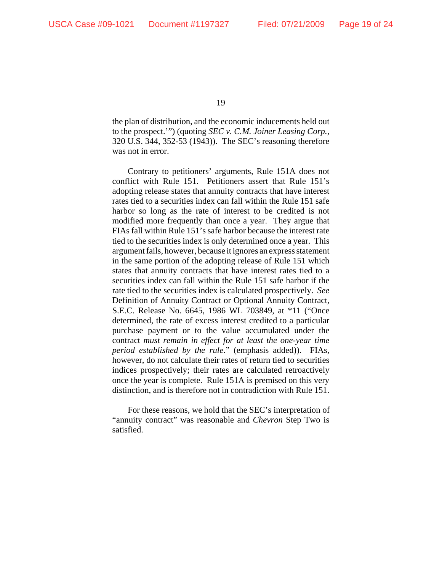the plan of distribution, and the economic inducements held out to the prospect.'") (quoting *SEC v. C.M. Joiner Leasing Corp.*, 320 U.S. 344, 352-53 (1943)). The SEC's reasoning therefore was not in error.

Contrary to petitioners' arguments, Rule 151A does not conflict with Rule 151. Petitioners assert that Rule 151's adopting release states that annuity contracts that have interest rates tied to a securities index can fall within the Rule 151 safe harbor so long as the rate of interest to be credited is not modified more frequently than once a year. They argue that FIAs fall within Rule 151's safe harbor because the interest rate tied to the securities index is only determined once a year. This argument fails, however, because it ignores an express statement in the same portion of the adopting release of Rule 151 which states that annuity contracts that have interest rates tied to a securities index can fall within the Rule 151 safe harbor if the rate tied to the securities index is calculated prospectively. *See* Definition of Annuity Contract or Optional Annuity Contract, S.E.C. Release No. 6645, 1986 WL 703849, at \*11 ("Once determined, the rate of excess interest credited to a particular purchase payment or to the value accumulated under the contract *must remain in effect for at least the one-year time period established by the rule*." (emphasis added)). FIAs, however, do not calculate their rates of return tied to securities indices prospectively; their rates are calculated retroactively once the year is complete. Rule 151A is premised on this very distinction, and is therefore not in contradiction with Rule 151.

 For these reasons, we hold that the SEC's interpretation of "annuity contract" was reasonable and *Chevron* Step Two is satisfied.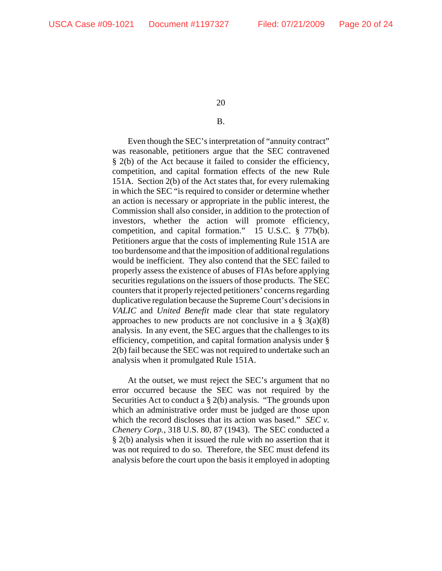# B.

Even though the SEC's interpretation of "annuity contract" was reasonable, petitioners argue that the SEC contravened § 2(b) of the Act because it failed to consider the efficiency, competition, and capital formation effects of the new Rule 151A. Section 2(b) of the Act states that, for every rulemaking in which the SEC "is required to consider or determine whether an action is necessary or appropriate in the public interest, the Commission shall also consider, in addition to the protection of investors, whether the action will promote efficiency, competition, and capital formation." 15 U.S.C. § 77b(b). Petitioners argue that the costs of implementing Rule 151A are too burdensome and that the imposition of additional regulations would be inefficient. They also contend that the SEC failed to properly assess the existence of abuses of FIAs before applying securities regulations on the issuers of those products. The SEC counters that it properly rejected petitioners' concerns regarding duplicative regulation because the Supreme Court's decisions in *VALIC* and *United Benefit* made clear that state regulatory approaches to new products are not conclusive in a  $\S$  3(a)(8) analysis. In any event, the SEC argues that the challenges to its efficiency, competition, and capital formation analysis under § 2(b) fail because the SEC was not required to undertake such an analysis when it promulgated Rule 151A.

At the outset, we must reject the SEC's argument that no error occurred because the SEC was not required by the Securities Act to conduct a § 2(b) analysis. "The grounds upon which an administrative order must be judged are those upon which the record discloses that its action was based." *SEC v. Chenery Corp.*, 318 U.S. 80, 87 (1943). The SEC conducted a § 2(b) analysis when it issued the rule with no assertion that it was not required to do so. Therefore, the SEC must defend its analysis before the court upon the basis it employed in adopting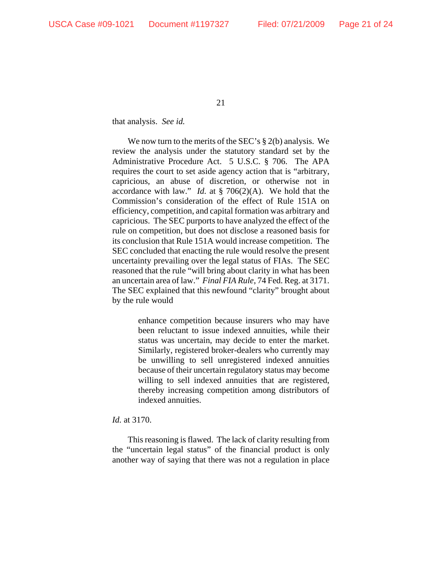# that analysis. *See id.*

We now turn to the merits of the SEC's  $\S 2(b)$  analysis. We review the analysis under the statutory standard set by the Administrative Procedure Act. 5 U.S.C. § 706. The APA requires the court to set aside agency action that is "arbitrary, capricious, an abuse of discretion, or otherwise not in accordance with law." *Id.* at § 706(2)(A). We hold that the Commission's consideration of the effect of Rule 151A on efficiency, competition, and capital formation was arbitrary and capricious. The SEC purports to have analyzed the effect of the rule on competition, but does not disclose a reasoned basis for its conclusion that Rule 151A would increase competition. The SEC concluded that enacting the rule would resolve the present uncertainty prevailing over the legal status of FIAs. The SEC reasoned that the rule "will bring about clarity in what has been an uncertain area of law." *Final FIA Rule*, 74 Fed. Reg. at 3171. The SEC explained that this newfound "clarity" brought about by the rule would

> enhance competition because insurers who may have been reluctant to issue indexed annuities, while their status was uncertain, may decide to enter the market. Similarly, registered broker-dealers who currently may be unwilling to sell unregistered indexed annuities because of their uncertain regulatory status may become willing to sell indexed annuities that are registered, thereby increasing competition among distributors of indexed annuities.

# *Id.* at 3170.

This reasoning is flawed. The lack of clarity resulting from the "uncertain legal status" of the financial product is only another way of saying that there was not a regulation in place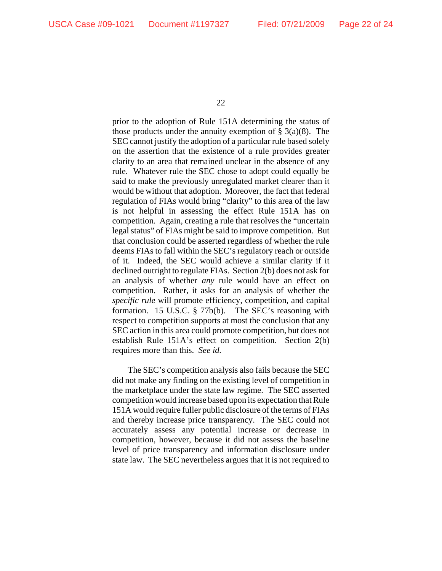prior to the adoption of Rule 151A determining the status of those products under the annuity exemption of  $\S$  3(a)(8). The SEC cannot justify the adoption of a particular rule based solely on the assertion that the existence of a rule provides greater clarity to an area that remained unclear in the absence of any rule. Whatever rule the SEC chose to adopt could equally be said to make the previously unregulated market clearer than it would be without that adoption. Moreover, the fact that federal regulation of FIAs would bring "clarity" to this area of the law is not helpful in assessing the effect Rule 151A has on competition. Again, creating a rule that resolves the "uncertain legal status" of FIAs might be said to improve competition. But that conclusion could be asserted regardless of whether the rule deems FIAs to fall within the SEC's regulatory reach or outside of it. Indeed, the SEC would achieve a similar clarity if it declined outright to regulate FIAs. Section 2(b) does not ask for an analysis of whether *any* rule would have an effect on competition. Rather, it asks for an analysis of whether the *specific rule* will promote efficiency, competition, and capital formation. 15 U.S.C. § 77b(b). The SEC's reasoning with respect to competition supports at most the conclusion that any SEC action in this area could promote competition, but does not establish Rule 151A's effect on competition. Section 2(b) requires more than this. *See id.*

The SEC's competition analysis also fails because the SEC did not make any finding on the existing level of competition in the marketplace under the state law regime. The SEC asserted competition would increase based upon its expectation that Rule 151A would require fuller public disclosure of the terms of FIAs and thereby increase price transparency. The SEC could not accurately assess any potential increase or decrease in competition, however, because it did not assess the baseline level of price transparency and information disclosure under state law. The SEC nevertheless argues that it is not required to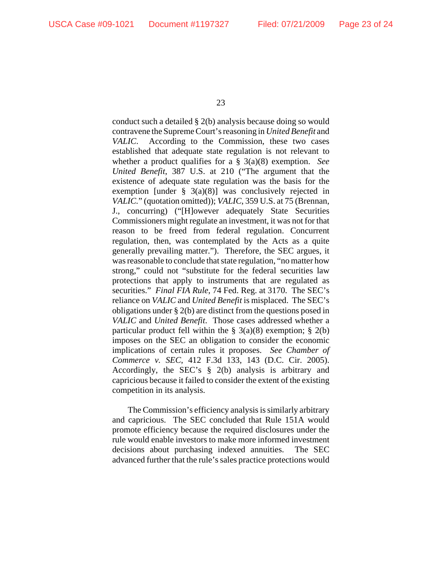conduct such a detailed § 2(b) analysis because doing so would contravene the Supreme Court's reasoning in *United Benefit* and *VALIC*. According to the Commission, these two cases established that adequate state regulation is not relevant to whether a product qualifies for a § 3(a)(8) exemption. *See United Benefit*, 387 U.S. at 210 ("The argument that the existence of adequate state regulation was the basis for the exemption [under  $\S$  3(a)(8)] was conclusively rejected in *VALIC.*" (quotation omitted)); *VALIC*, 359 U.S. at 75 (Brennan, J., concurring) ("[H]owever adequately State Securities Commissioners might regulate an investment, it was not for that reason to be freed from federal regulation. Concurrent regulation, then, was contemplated by the Acts as a quite generally prevailing matter."). Therefore, the SEC argues, it was reasonable to conclude that state regulation, "no matter how strong," could not "substitute for the federal securities law protections that apply to instruments that are regulated as securities." *Final FIA Rule*, 74 Fed. Reg. at 3170. The SEC's reliance on *VALIC* and *United Benefit* is misplaced. The SEC's obligations under § 2(b) are distinct from the questions posed in *VALIC* and *United Benefit*. Those cases addressed whether a particular product fell within the  $\S$  3(a)(8) exemption;  $\S$  2(b) imposes on the SEC an obligation to consider the economic implications of certain rules it proposes. *See Chamber of Commerce v. SEC*, 412 F.3d 133, 143 (D.C. Cir. 2005). Accordingly, the SEC's § 2(b) analysis is arbitrary and capricious because it failed to consider the extent of the existing competition in its analysis.

The Commission's efficiency analysis is similarly arbitrary and capricious. The SEC concluded that Rule 151A would promote efficiency because the required disclosures under the rule would enable investors to make more informed investment decisions about purchasing indexed annuities. The SEC advanced further that the rule's sales practice protections would